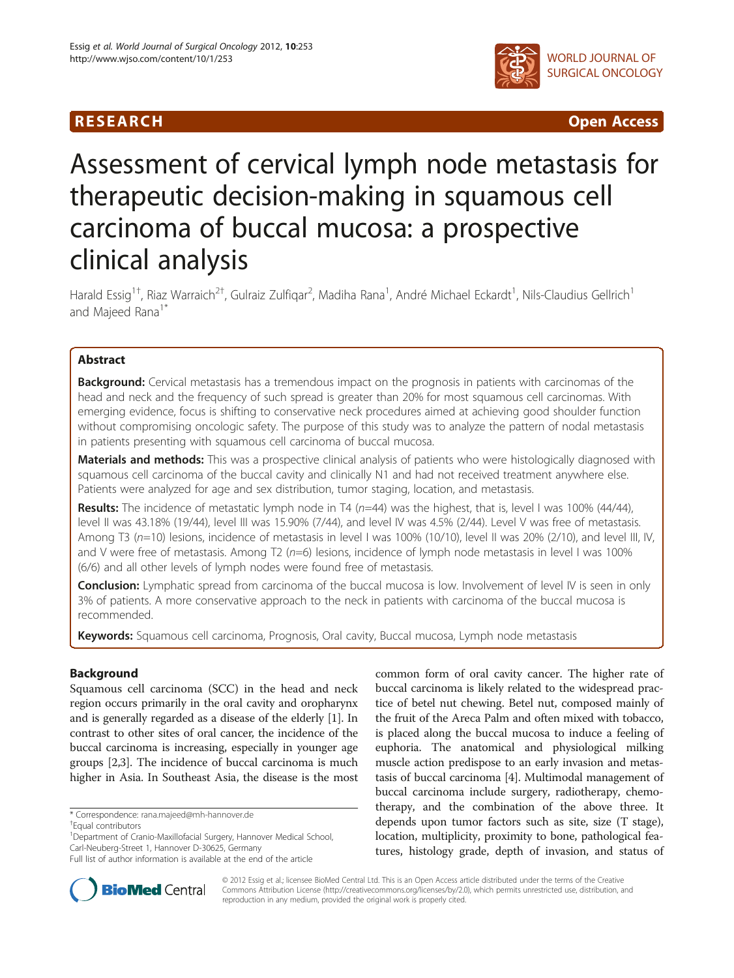## R E S EAR CH Open Access



# Assessment of cervical lymph node metastasis for therapeutic decision-making in squamous cell carcinoma of buccal mucosa: a prospective clinical analysis

Harald Essig<sup>1†</sup>, Riaz Warraich<sup>2†</sup>, Gulraiz Zulfiqar<sup>2</sup>, Madiha Rana<sup>1</sup>, André Michael Eckardt<sup>1</sup>, Nils-Claudius Gellrich<sup>1</sup> and Majeed Rana<sup>1\*</sup>

## Abstract

Background: Cervical metastasis has a tremendous impact on the prognosis in patients with carcinomas of the head and neck and the frequency of such spread is greater than 20% for most squamous cell carcinomas. With emerging evidence, focus is shifting to conservative neck procedures aimed at achieving good shoulder function without compromising oncologic safety. The purpose of this study was to analyze the pattern of nodal metastasis in patients presenting with squamous cell carcinoma of buccal mucosa.

Materials and methods: This was a prospective clinical analysis of patients who were histologically diagnosed with squamous cell carcinoma of the buccal cavity and clinically N1 and had not received treatment anywhere else. Patients were analyzed for age and sex distribution, tumor staging, location, and metastasis.

Results: The incidence of metastatic lymph node in T4  $(n=44)$  was the highest, that is, level I was 100% (44/44), level II was 43.18% (19/44), level III was 15.90% (7/44), and level IV was 4.5% (2/44). Level V was free of metastasis. Among T3 (n=10) lesions, incidence of metastasis in level I was 100% (10/10), level II was 20% (2/10), and level III, IV, and V were free of metastasis. Among T2 ( $n=6$ ) lesions, incidence of lymph node metastasis in level I was 100% (6/6) and all other levels of lymph nodes were found free of metastasis.

**Conclusion:** Lymphatic spread from carcinoma of the buccal mucosa is low. Involvement of level IV is seen in only 3% of patients. A more conservative approach to the neck in patients with carcinoma of the buccal mucosa is recommended.

Keywords: Squamous cell carcinoma, Prognosis, Oral cavity, Buccal mucosa, Lymph node metastasis

## Background

Squamous cell carcinoma (SCC) in the head and neck region occurs primarily in the oral cavity and oropharynx and is generally regarded as a disease of the elderly [\[1\]](#page-5-0). In contrast to other sites of oral cancer, the incidence of the buccal carcinoma is increasing, especially in younger age groups [[2,3](#page-5-0)]. The incidence of buccal carcinoma is much higher in Asia. In Southeast Asia, the disease is the most

\* Correspondence: [rana.majeed@mh-hannover.de](mailto:rana.majeed@mh-hannover.de) †

Equal contributors

<sup>1</sup>Department of Cranio-Maxillofacial Surgery, Hannover Medical School, Carl-Neuberg-Street 1, Hannover D-30625, Germany

common form of oral cavity cancer. The higher rate of buccal carcinoma is likely related to the widespread practice of betel nut chewing. Betel nut, composed mainly of the fruit of the Areca Palm and often mixed with tobacco, is placed along the buccal mucosa to induce a feeling of euphoria. The anatomical and physiological milking muscle action predispose to an early invasion and metastasis of buccal carcinoma [[4](#page-5-0)]. Multimodal management of buccal carcinoma include surgery, radiotherapy, chemotherapy, and the combination of the above three. It depends upon tumor factors such as site, size (T stage), location, multiplicity, proximity to bone, pathological features, histology grade, depth of invasion, and status of



© 2012 Essig et al.; licensee BioMed Central Ltd. This is an Open Access article distributed under the terms of the Creative Commons Attribution License [\(http://creativecommons.org/licenses/by/2.0\)](http://creativecommons.org/licenses/by/2.0), which permits unrestricted use, distribution, and reproduction in any medium, provided the original work is properly cited.

Full list of author information is available at the end of the article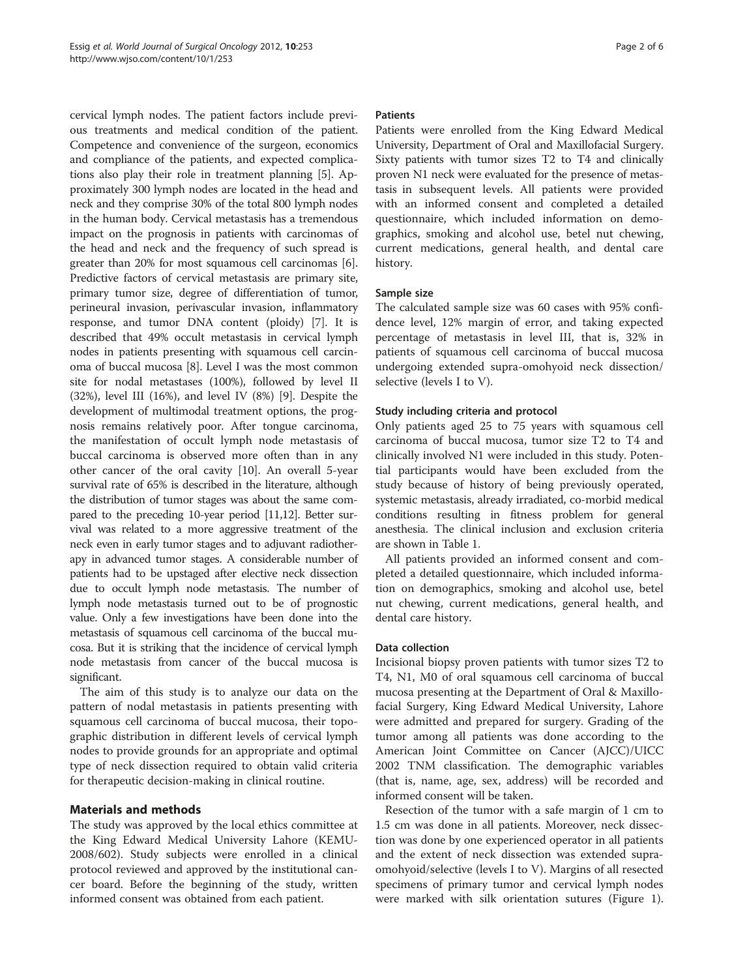cervical lymph nodes. The patient factors include previous treatments and medical condition of the patient. Competence and convenience of the surgeon, economics and compliance of the patients, and expected complications also play their role in treatment planning [[5\]](#page-5-0). Approximately 300 lymph nodes are located in the head and neck and they comprise 30% of the total 800 lymph nodes in the human body. Cervical metastasis has a tremendous impact on the prognosis in patients with carcinomas of the head and neck and the frequency of such spread is greater than 20% for most squamous cell carcinomas [[6](#page-5-0)]. Predictive factors of cervical metastasis are primary site, primary tumor size, degree of differentiation of tumor, perineural invasion, perivascular invasion, inflammatory response, and tumor DNA content (ploidy) [[7\]](#page-5-0). It is described that 49% occult metastasis in cervical lymph nodes in patients presenting with squamous cell carcinoma of buccal mucosa [\[8](#page-5-0)]. Level I was the most common site for nodal metastases (100%), followed by level II (32%), level III (16%), and level IV (8%) [[9](#page-5-0)]. Despite the development of multimodal treatment options, the prognosis remains relatively poor. After tongue carcinoma, the manifestation of occult lymph node metastasis of buccal carcinoma is observed more often than in any other cancer of the oral cavity [\[10](#page-5-0)]. An overall 5-year survival rate of 65% is described in the literature, although the distribution of tumor stages was about the same compared to the preceding 10-year period [[11,12\]](#page-5-0). Better survival was related to a more aggressive treatment of the neck even in early tumor stages and to adjuvant radiotherapy in advanced tumor stages. A considerable number of patients had to be upstaged after elective neck dissection due to occult lymph node metastasis. The number of lymph node metastasis turned out to be of prognostic value. Only a few investigations have been done into the metastasis of squamous cell carcinoma of the buccal mucosa. But it is striking that the incidence of cervical lymph node metastasis from cancer of the buccal mucosa is significant.

The aim of this study is to analyze our data on the pattern of nodal metastasis in patients presenting with squamous cell carcinoma of buccal mucosa, their topographic distribution in different levels of cervical lymph nodes to provide grounds for an appropriate and optimal type of neck dissection required to obtain valid criteria for therapeutic decision-making in clinical routine.

## Materials and methods

The study was approved by the local ethics committee at the King Edward Medical University Lahore (KEMU-2008/602). Study subjects were enrolled in a clinical protocol reviewed and approved by the institutional cancer board. Before the beginning of the study, written informed consent was obtained from each patient.

#### **Patients**

Patients were enrolled from the King Edward Medical University, Department of Oral and Maxillofacial Surgery. Sixty patients with tumor sizes T2 to T4 and clinically proven N1 neck were evaluated for the presence of metastasis in subsequent levels. All patients were provided with an informed consent and completed a detailed questionnaire, which included information on demographics, smoking and alcohol use, betel nut chewing, current medications, general health, and dental care history.

## Sample size

The calculated sample size was 60 cases with 95% confidence level, 12% margin of error, and taking expected percentage of metastasis in level III, that is, 32% in patients of squamous cell carcinoma of buccal mucosa undergoing extended supra-omohyoid neck dissection/ selective (levels I to V).

## Study including criteria and protocol

Only patients aged 25 to 75 years with squamous cell carcinoma of buccal mucosa, tumor size T2 to T4 and clinically involved N1 were included in this study. Potential participants would have been excluded from the study because of history of being previously operated, systemic metastasis, already irradiated, co-morbid medical conditions resulting in fitness problem for general anesthesia. The clinical inclusion and exclusion criteria are shown in Table [1.](#page-2-0)

All patients provided an informed consent and completed a detailed questionnaire, which included information on demographics, smoking and alcohol use, betel nut chewing, current medications, general health, and dental care history.

## Data collection

Incisional biopsy proven patients with tumor sizes T2 to T4, N1, M0 of oral squamous cell carcinoma of buccal mucosa presenting at the Department of Oral & Maxillofacial Surgery, King Edward Medical University, Lahore were admitted and prepared for surgery. Grading of the tumor among all patients was done according to the American Joint Committee on Cancer (AJCC)/UICC 2002 TNM classification. The demographic variables (that is, name, age, sex, address) will be recorded and informed consent will be taken.

Resection of the tumor with a safe margin of 1 cm to 1.5 cm was done in all patients. Moreover, neck dissection was done by one experienced operator in all patients and the extent of neck dissection was extended supraomohyoid/selective (levels I to V). Margins of all resected specimens of primary tumor and cervical lymph nodes were marked with silk orientation sutures (Figure [1](#page-2-0)).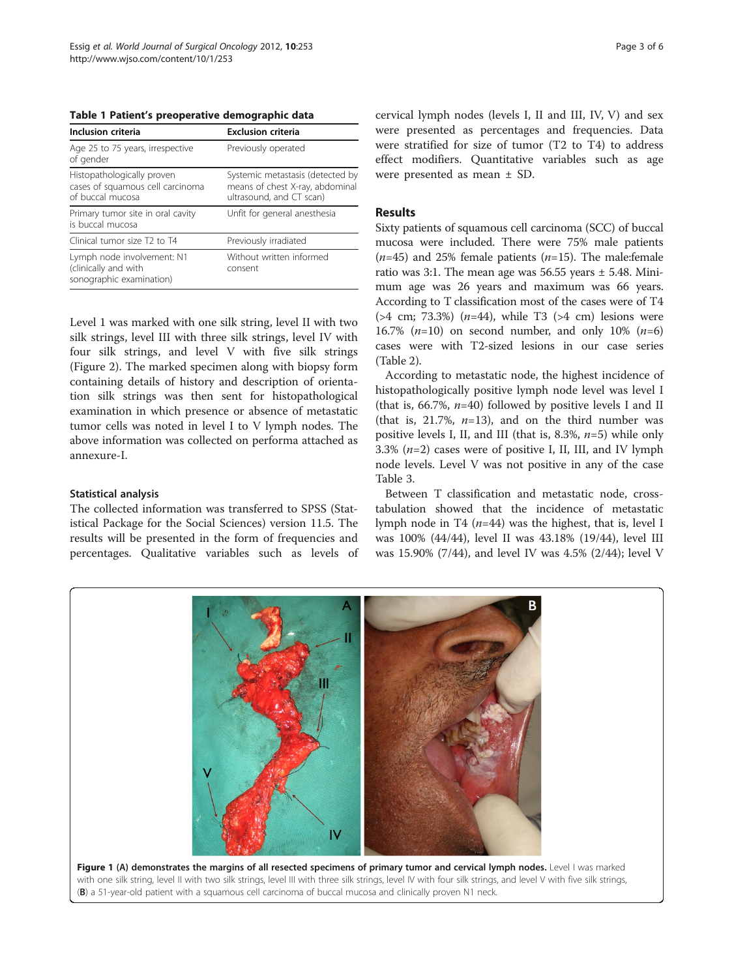<span id="page-2-0"></span>Table 1 Patient's preoperative demographic data

| Inclusion criteria                                                                 | <b>Exclusion criteria</b>                                                                       |
|------------------------------------------------------------------------------------|-------------------------------------------------------------------------------------------------|
| Age 25 to 75 years, irrespective<br>of gender                                      | Previously operated                                                                             |
| Histopathologically proven<br>cases of squamous cell carcinoma<br>of buccal mucosa | Systemic metastasis (detected by<br>means of chest X-ray, abdominal<br>ultrasound, and CT scan) |
| Primary tumor site in oral cavity<br>is buccal mucosa                              | Unfit for general anesthesia                                                                    |
| Clinical tumor size T <sub>2</sub> to T <sub>4</sub>                               | Previously irradiated                                                                           |
| Lymph node involvement: N1<br>(clinically and with<br>sonographic examination)     | Without written informed<br>consent                                                             |

Level 1 was marked with one silk string, level II with two silk strings, level III with three silk strings, level IV with four silk strings, and level V with five silk strings (Figure [2](#page-3-0)). The marked specimen along with biopsy form containing details of history and description of orientation silk strings was then sent for histopathological examination in which presence or absence of metastatic tumor cells was noted in level I to V lymph nodes. The above information was collected on performa attached as annexure-I.

## Statistical analysis

The collected information was transferred to SPSS (Statistical Package for the Social Sciences) version 11.5. The results will be presented in the form of frequencies and percentages. Qualitative variables such as levels of cervical lymph nodes (levels I, II and III, IV, V) and sex were presented as percentages and frequencies. Data were stratified for size of tumor (T2 to T4) to address effect modifiers. Quantitative variables such as age were presented as mean ± SD.

## Results

Sixty patients of squamous cell carcinoma (SCC) of buccal mucosa were included. There were 75% male patients  $(n=45)$  and 25% female patients  $(n=15)$ . The male:female ratio was 3:1. The mean age was  $56.55$  years  $\pm$  5.48. Minimum age was 26 years and maximum was 66 years. According to T classification most of the cases were of T4 ( $>4$  cm; 73.3%) ( $n=44$ ), while T3 ( $>4$  cm) lesions were 16.7% ( $n=10$ ) on second number, and only 10% ( $n=6$ ) cases were with T2-sized lesions in our case series (Table [2](#page-3-0)).

According to metastatic node, the highest incidence of histopathologically positive lymph node level was level I (that is, 66.7%,  $n=40$ ) followed by positive levels I and II (that is, 21.7%,  $n=13$ ), and on the third number was positive levels I, II, and III (that is, 8.3%,  $n=5$ ) while only 3.3%  $(n=2)$  cases were of positive I, II, III, and IV lymph node levels. Level V was not positive in any of the case Table [3.](#page-3-0)

Between T classification and metastatic node, crosstabulation showed that the incidence of metastatic lymph node in T4  $(n=44)$  was the highest, that is, level I was 100% (44/44), level II was 43.18% (19/44), level III was 15.90% (7/44), and level IV was 4.5% (2/44); level V

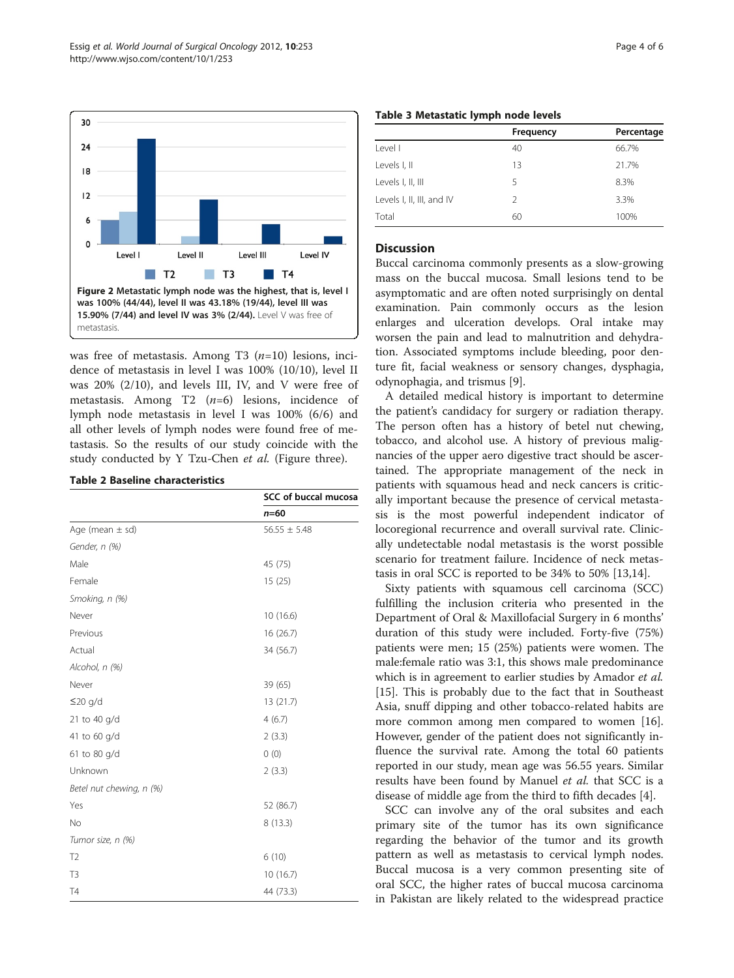<span id="page-3-0"></span>

was free of metastasis. Among T3  $(n=10)$  lesions, incidence of metastasis in level I was 100% (10/10), level II was 20% (2/10), and levels III, IV, and V were free of metastasis. Among T2  $(n=6)$  lesions, incidence of lymph node metastasis in level I was 100% (6/6) and all other levels of lymph nodes were found free of metastasis. So the results of our study coincide with the study conducted by Y Tzu-Chen et al. (Figure three).

|                          | SCC of buccal mucosa |  |
|--------------------------|----------------------|--|
|                          | $n=60$               |  |
| Age (mean $\pm$ sd)      | $56.55 \pm 5.48$     |  |
| Gender, n (%)            |                      |  |
| Male                     | 45 (75)              |  |
| Female                   | 15(25)               |  |
| Smoking, n (%)           |                      |  |
| Never                    | 10(16.6)             |  |
| Previous                 | 16 (26.7)            |  |
| Actual                   | 34 (56.7)            |  |
| Alcohol, n (%)           |                      |  |
| Never                    | 39 (65)              |  |
| $≤20$ g/d                | 13 (21.7)            |  |
| 21 to 40 g/d             | 4(6.7)               |  |
| 41 to 60 g/d             | 2(3.3)               |  |
| 61 to 80 g/d             | 0(0)                 |  |
| Unknown                  | 2(3.3)               |  |
| Betel nut chewing, n (%) |                      |  |
| Yes                      | 52 (86.7)            |  |
| No                       | 8(13.3)              |  |
| Tumor size, n (%)        |                      |  |
| T <sub>2</sub>           | 6(10)                |  |
| T <sub>3</sub>           | 10(16.7)             |  |
| <b>T4</b>                | 44 (73.3)            |  |

|  | Table 3 Metastatic lymph node levels |  |  |  |
|--|--------------------------------------|--|--|--|
|--|--------------------------------------|--|--|--|

|                           | Frequency | Percentage |
|---------------------------|-----------|------------|
| Level I                   | 40        | 66.7%      |
| Levels I, II              | 13        | 21.7%      |
| Levels I, II, III         | 5         | 8.3%       |
| Levels I, II, III, and IV | 2         | 3.3%       |
| Total                     | 60        | 100%       |

## **Discussion**

Buccal carcinoma commonly presents as a slow-growing mass on the buccal mucosa. Small lesions tend to be asymptomatic and are often noted surprisingly on dental examination. Pain commonly occurs as the lesion enlarges and ulceration develops. Oral intake may worsen the pain and lead to malnutrition and dehydration. Associated symptoms include bleeding, poor denture fit, facial weakness or sensory changes, dysphagia, odynophagia, and trismus [\[9](#page-5-0)].

A detailed medical history is important to determine the patient's candidacy for surgery or radiation therapy. The person often has a history of betel nut chewing, tobacco, and alcohol use. A history of previous malignancies of the upper aero digestive tract should be ascertained. The appropriate management of the neck in patients with squamous head and neck cancers is critically important because the presence of cervical metastasis is the most powerful independent indicator of locoregional recurrence and overall survival rate. Clinically undetectable nodal metastasis is the worst possible scenario for treatment failure. Incidence of neck metastasis in oral SCC is reported to be 34% to 50% [[13,14](#page-5-0)].

Sixty patients with squamous cell carcinoma (SCC) fulfilling the inclusion criteria who presented in the Department of Oral & Maxillofacial Surgery in 6 months' duration of this study were included. Forty-five (75%) patients were men; 15 (25%) patients were women. The male:female ratio was 3:1, this shows male predominance which is in agreement to earlier studies by Amador et al. [[15\]](#page-5-0). This is probably due to the fact that in Southeast Asia, snuff dipping and other tobacco-related habits are more common among men compared to women [\[16](#page-5-0)]. However, gender of the patient does not significantly influence the survival rate. Among the total 60 patients reported in our study, mean age was 56.55 years. Similar results have been found by Manuel *et al.* that SCC is a disease of middle age from the third to fifth decades [\[4](#page-5-0)].

SCC can involve any of the oral subsites and each primary site of the tumor has its own significance regarding the behavior of the tumor and its growth pattern as well as metastasis to cervical lymph nodes. Buccal mucosa is a very common presenting site of oral SCC, the higher rates of buccal mucosa carcinoma in Pakistan are likely related to the widespread practice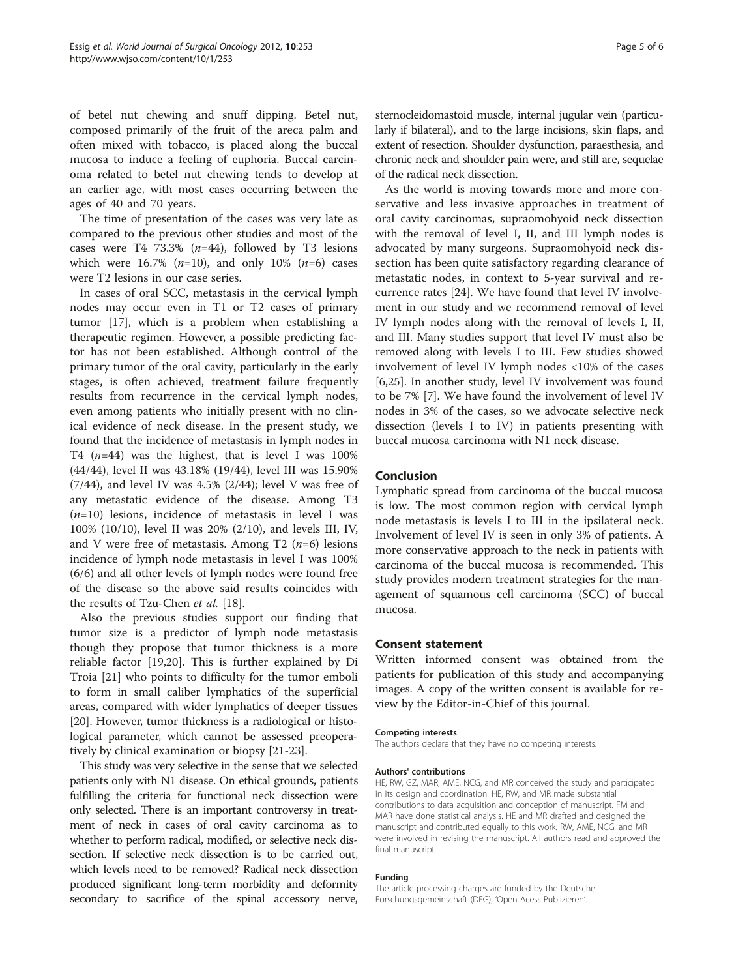of betel nut chewing and snuff dipping. Betel nut, composed primarily of the fruit of the areca palm and often mixed with tobacco, is placed along the buccal mucosa to induce a feeling of euphoria. Buccal carcinoma related to betel nut chewing tends to develop at an earlier age, with most cases occurring between the ages of 40 and 70 years.

The time of presentation of the cases was very late as compared to the previous other studies and most of the cases were T4 73.3%  $(n=44)$ , followed by T3 lesions which were  $16.7\%$  ( $n=10$ ), and only  $10\%$  ( $n=6$ ) cases were T2 lesions in our case series.

In cases of oral SCC, metastasis in the cervical lymph nodes may occur even in T1 or T2 cases of primary tumor [\[17\]](#page-5-0), which is a problem when establishing a therapeutic regimen. However, a possible predicting factor has not been established. Although control of the primary tumor of the oral cavity, particularly in the early stages, is often achieved, treatment failure frequently results from recurrence in the cervical lymph nodes, even among patients who initially present with no clinical evidence of neck disease. In the present study, we found that the incidence of metastasis in lymph nodes in T4  $(n=44)$  was the highest, that is level I was 100% (44/44), level II was 43.18% (19/44), level III was 15.90%  $(7/44)$ , and level IV was 4.5%  $(2/44)$ ; level V was free of any metastatic evidence of the disease. Among T3  $(n=10)$  lesions, incidence of metastasis in level I was 100% (10/10), level II was 20% (2/10), and levels III, IV, and V were free of metastasis. Among T2  $(n=6)$  lesions incidence of lymph node metastasis in level I was 100% (6/6) and all other levels of lymph nodes were found free of the disease so the above said results coincides with the results of Tzu-Chen et al. [[18](#page-5-0)].

Also the previous studies support our finding that tumor size is a predictor of lymph node metastasis though they propose that tumor thickness is a more reliable factor [[19,20\]](#page-5-0). This is further explained by Di Troia [[21](#page-5-0)] who points to difficulty for the tumor emboli to form in small caliber lymphatics of the superficial areas, compared with wider lymphatics of deeper tissues [[20\]](#page-5-0). However, tumor thickness is a radiological or histological parameter, which cannot be assessed preoperatively by clinical examination or biopsy [\[21-23](#page-5-0)].

This study was very selective in the sense that we selected patients only with N1 disease. On ethical grounds, patients fulfilling the criteria for functional neck dissection were only selected. There is an important controversy in treatment of neck in cases of oral cavity carcinoma as to whether to perform radical, modified, or selective neck dissection. If selective neck dissection is to be carried out, which levels need to be removed? Radical neck dissection produced significant long-term morbidity and deformity secondary to sacrifice of the spinal accessory nerve, sternocleidomastoid muscle, internal jugular vein (particularly if bilateral), and to the large incisions, skin flaps, and extent of resection. Shoulder dysfunction, paraesthesia, and chronic neck and shoulder pain were, and still are, sequelae of the radical neck dissection.

As the world is moving towards more and more conservative and less invasive approaches in treatment of oral cavity carcinomas, supraomohyoid neck dissection with the removal of level I, II, and III lymph nodes is advocated by many surgeons. Supraomohyoid neck dissection has been quite satisfactory regarding clearance of metastatic nodes, in context to 5-year survival and recurrence rates [[24\]](#page-5-0). We have found that level IV involvement in our study and we recommend removal of level IV lymph nodes along with the removal of levels I, II, and III. Many studies support that level IV must also be removed along with levels I to III. Few studies showed involvement of level IV lymph nodes <10% of the cases [[6,25\]](#page-5-0). In another study, level IV involvement was found to be 7% [[7\]](#page-5-0). We have found the involvement of level IV nodes in 3% of the cases, so we advocate selective neck dissection (levels I to IV) in patients presenting with buccal mucosa carcinoma with N1 neck disease.

## Conclusion

Lymphatic spread from carcinoma of the buccal mucosa is low. The most common region with cervical lymph node metastasis is levels I to III in the ipsilateral neck. Involvement of level IV is seen in only 3% of patients. A more conservative approach to the neck in patients with carcinoma of the buccal mucosa is recommended. This study provides modern treatment strategies for the management of squamous cell carcinoma (SCC) of buccal mucosa.

## Consent statement

Written informed consent was obtained from the patients for publication of this study and accompanying images. A copy of the written consent is available for review by the Editor-in-Chief of this journal.

#### Competing interests

The authors declare that they have no competing interests.

#### Authors' contributions

HE, RW, GZ, MAR, AME, NCG, and MR conceived the study and participated in its design and coordination. HE, RW, and MR made substantial contributions to data acquisition and conception of manuscript. FM and MAR have done statistical analysis. HE and MR drafted and designed the manuscript and contributed equally to this work. RW, AME, NCG, and MR were involved in revising the manuscript. All authors read and approved the final manuscript.

#### Funding

The article processing charges are funded by the Deutsche Forschungsgemeinschaft (DFG), 'Open Acess Publizieren'.